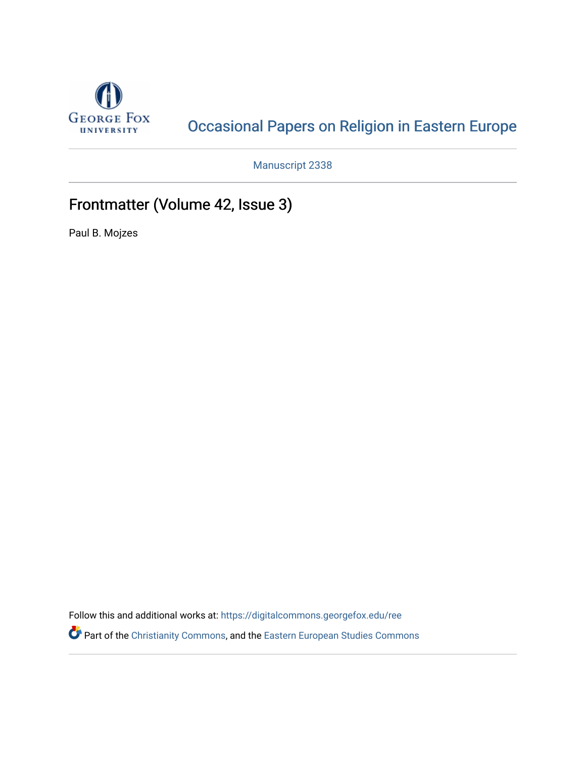

## [Occasional Papers on Religion in Eastern Europe](https://digitalcommons.georgefox.edu/ree)

Manuscript 2338

## Frontmatter (Volume 42, Issue 3)

Paul B. Mojzes

Follow this and additional works at: [https://digitalcommons.georgefox.edu/ree](https://digitalcommons.georgefox.edu/ree?utm_source=digitalcommons.georgefox.edu%2Free%2Fvol42%2Fiss3%2F1&utm_medium=PDF&utm_campaign=PDFCoverPages) 

Part of the [Christianity Commons,](http://network.bepress.com/hgg/discipline/1181?utm_source=digitalcommons.georgefox.edu%2Free%2Fvol42%2Fiss3%2F1&utm_medium=PDF&utm_campaign=PDFCoverPages) and the [Eastern European Studies Commons](http://network.bepress.com/hgg/discipline/362?utm_source=digitalcommons.georgefox.edu%2Free%2Fvol42%2Fiss3%2F1&utm_medium=PDF&utm_campaign=PDFCoverPages)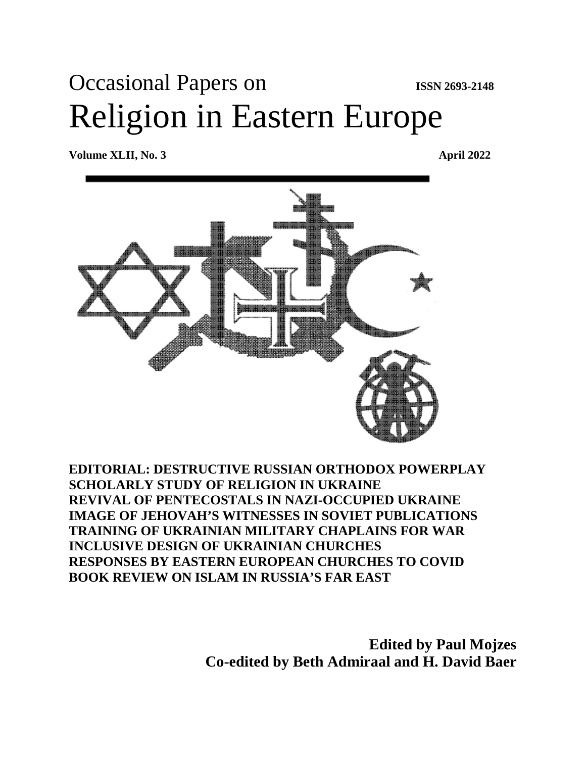# Occasional Papers on **ISSN 2693-2148** Religion in Eastern Europe

**Volume XLII, No. 3 April 2022**



### **EDITORIAL: DESTRUCTIVE RUSSIAN ORTHODOX POWERPLAY SCHOLARLY STUDY OF RELIGION IN UKRAINE REVIVAL OF PENTECOSTALS IN NAZI-OCCUPIED UKRAINE IMAGE OF JEHOVAH'S WITNESSES IN SOVIET PUBLICATIONS TRAINING OF UKRAINIAN MILITARY CHAPLAINS FOR WAR INCLUSIVE DESIGN OF UKRAINIAN CHURCHES RESPONSES BY EASTERN EUROPEAN CHURCHES TO COVID BOOK REVIEW ON ISLAM IN RUSSIA'S FAR EAST**

**Edited by Paul Mojzes Co-edited by Beth Admiraal and H. David Baer**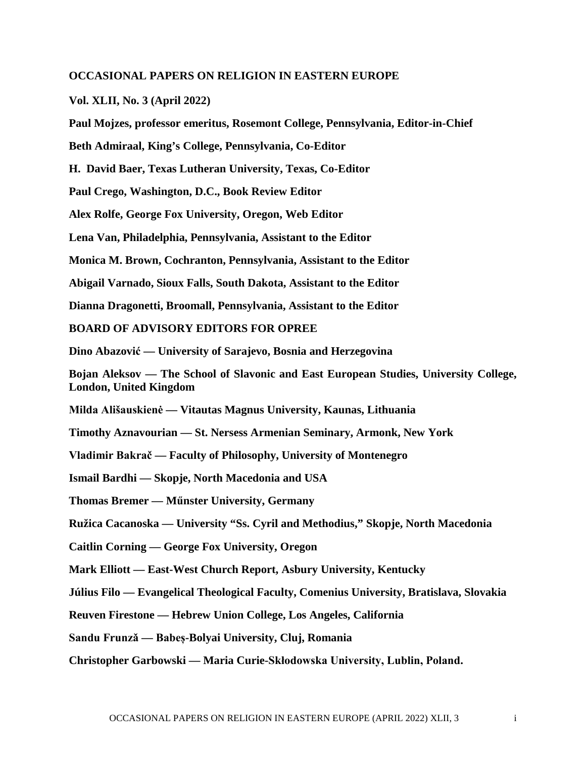#### **OCCASIONAL PAPERS ON RELIGION IN EASTERN EUROPE**

**Vol. XLII, No. 3 (April 2022)**

**Paul Mojzes, professor emeritus, Rosemont College, Pennsylvania, Editor-in-Chief**

**Beth Admiraal, King's College, Pennsylvania, Co-Editor**

**H. David Baer, Texas Lutheran University, Texas, Co-Editor** 

**Paul Crego, Washington, D.C., Book Review Editor**

**Alex Rolfe, George Fox University, Oregon, Web Editor**

**Lena Van, Philadelphia, Pennsylvania, Assistant to the Editor**

**Monica M. Brown, Cochranton, Pennsylvania, Assistant to the Editor**

**Abigail Varnado, Sioux Falls, South Dakota, Assistant to the Editor**

**Dianna Dragonetti, Broomall, Pennsylvania, Assistant to the Editor**

**BOARD OF ADVISORY EDITORS FOR OPREE**

**Dino Abazović — University of Sarajevo, Bosnia and Herzegovina** 

**Bojan Aleksov — The School of Slavonic and East European Studies, University College, London, United Kingdom** 

**Milda Ališauskienė — Vitautas Magnus University, Kaunas, Lithuania**

**Timothy Aznavourian — St. Nersess Armenian Seminary, Armonk, New York**

**Vladimir Bakrač — Faculty of Philosophy, University of Montenegro**

**Ismail Bardhi — Skopje, North Macedonia and USA** 

**Thomas Bremer — Műnster University, Germany**

**Ružica Cacanoska — University "Ss. Cyril and Methodius," Skopje, North Macedonia** 

**Caitlin Corning — George Fox University, Oregon**

**Mark Elliott — East-West Church Report, Asbury University, Kentucky** 

**Július Filo — Evangelical Theological Faculty, Comenius University, Bratislava, Slovakia** 

**Reuven Firestone — Hebrew Union College, Los Angeles, California**

**Sandu Frunzǎ — Babeș-Bolyai University, Cluj, Romania** 

**Christopher Garbowski — Maria Curie-Skłodowska University, Lublin, Poland.**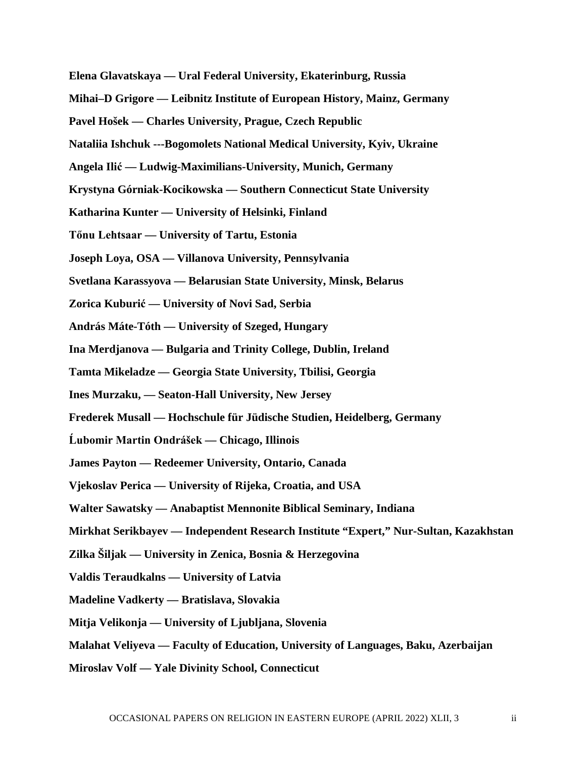**Elena Glavatskaya — Ural Federal University, Ekaterinburg, Russia** 

- **Mihai–D Grigore — Leibnitz Institute of European History, Mainz, Germany**
- **Pavel Hošek — Charles University, Prague, Czech Republic**
- **Nataliia Ishchuk ---Bogomolets National Medical University, Kyiv, Ukraine**
- **Angela Ilić — Ludwig-Maximilians-University, Munich, Germany**
- **Krystyna Górniak-Kocikowska — Southern Connecticut State University**
- **Katharina Kunter — University of Helsinki, Finland**
- **Tőnu Lehtsaar — University of Tartu, Estonia**
- **Joseph Loya, OSA — Villanova University, Pennsylvania**
- **Svetlana Karassyova — Belarusian State University, Minsk, Belarus**
- **Zorica Kuburić — University of Novi Sad, Serbia**
- **András Máte-Tóth — University of Szeged, Hungary**
- **Ina Merdjanova — Bulgaria and Trinity College, Dublin, Ireland**
- **Tamta Mikeladze — Georgia State University, Tbilisi, Georgia**
- **Ines Murzaku, — Seaton-Hall University, New Jersey**
- **Frederek Musall — Hochschule für Jüdische Studien, Heidelberg, Germany**
- **Ĺubomir Martin Ondrášek — Chicago, Illinois**
- **James Payton — Redeemer University, Ontario, Canada**
- **Vjekoslav Perica — University of Rijeka, Croatia, and USA**
- **Walter Sawatsky — Anabaptist Mennonite Biblical Seminary, Indiana**
- **Mirkhat Serikbayev — Independent Research Institute "Expert," Nur-Sultan, Kazakhstan**
- **Zilka Šiljak — University in Zenica, Bosnia & Herzegovina**
- **Valdis Teraudkalns — University of Latvia**
- **Madeline Vadkerty — Bratislava, Slovakia**
- **Mitja Velikonja — University of Ljubljana, Slovenia**
- **Malahat Veliyeva — Faculty of Education, University of Languages, Baku, Azerbaijan**
- **Miroslav Volf — Yale Divinity School, Connecticut**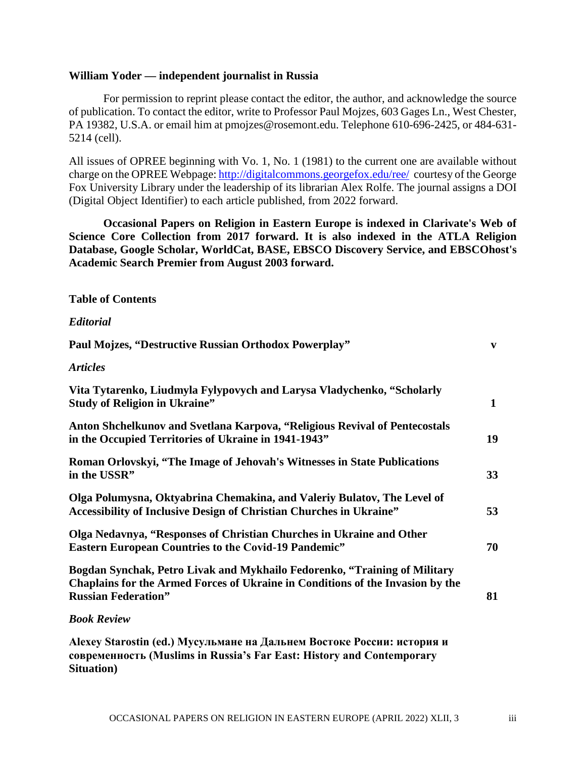#### **William Yoder — independent journalist in Russia**

For permission to reprint please contact the editor, the author, and acknowledge the source of publication. To contact the editor, write to Professor Paul Mojzes, 603 Gages Ln., West Chester, PA 19382, U.S.A. or email him at pmojzes@rosemont.edu. Telephone 610-696-2425, or 484-631- 5214 (cell).

All issues of OPREE beginning with Vo. 1, No. 1 (1981) to the current one are available without charge on the OPREE Webpage[: http://digitalcommons.georgefox.edu/ree/](http://digitalcommons.georgefox.edu/ree/) courtesy of the George Fox University Library under the leadership of its librarian Alex Rolfe. The journal assigns a DOI (Digital Object Identifier) to each article published, from 2022 forward.

**Occasional Papers on Religion in Eastern Europe is indexed in Clarivate's Web of Science Core Collection from 2017 forward. It is also indexed in the ATLA Religion Database, Google Scholar, WorldCat, BASE, EBSCO Discovery Service, and EBSCOhost's Academic Search Premier from August 2003 forward.**

#### **Table of Contents**

#### *Editorial*

| Paul Mojzes, "Destructive Russian Orthodox Powerplay"                                                                                                                                                                                                                                            | $\mathbf{v}$ |
|--------------------------------------------------------------------------------------------------------------------------------------------------------------------------------------------------------------------------------------------------------------------------------------------------|--------------|
| <b>Articles</b>                                                                                                                                                                                                                                                                                  |              |
| Vita Tytarenko, Liudmyla Fylypovych and Larysa Vladychenko, "Scholarly<br><b>Study of Religion in Ukraine"</b>                                                                                                                                                                                   | $\mathbf{1}$ |
| Anton Shchelkunov and Svetlana Karpova, "Religious Revival of Pentecostals<br>in the Occupied Territories of Ukraine in 1941-1943"                                                                                                                                                               | 19           |
| Roman Orlovskyi, "The Image of Jehovah's Witnesses in State Publications<br>in the USSR"                                                                                                                                                                                                         | 33           |
| Olga Polumysna, Oktyabrina Chemakina, and Valeriy Bulatov, The Level of<br><b>Accessibility of Inclusive Design of Christian Churches in Ukraine"</b>                                                                                                                                            | 53           |
| Olga Nedavnya, "Responses of Christian Churches in Ukraine and Other<br><b>Eastern European Countries to the Covid-19 Pandemic"</b>                                                                                                                                                              | 70           |
| Bogdan Synchak, Petro Livak and Mykhailo Fedorenko, "Training of Military<br>Chaplains for the Armed Forces of Ukraine in Conditions of the Invasion by the<br><b>Russian Federation"</b>                                                                                                        | 81           |
| <b>Book Review</b>                                                                                                                                                                                                                                                                               |              |
| $\mathbf{A}$ and $\mathbf{A}$ and $\mathbf{A}$ and $\mathbf{A}$ and $\mathbf{A}$ and $\mathbf{A}$ and $\mathbf{A}$ and $\mathbf{A}$ and $\mathbf{A}$ and $\mathbf{A}$ and $\mathbf{A}$ and $\mathbf{A}$ and $\mathbf{A}$ and $\mathbf{A}$ and $\mathbf{A}$ and $\mathbf{A}$ and $\mathbf{A}$ and |              |

**Alexey Starostin (ed.) Мусульмане на Дальнем Востоке России: история и современность (Muslims in Russia's Far East: History and Contemporary Situation)**